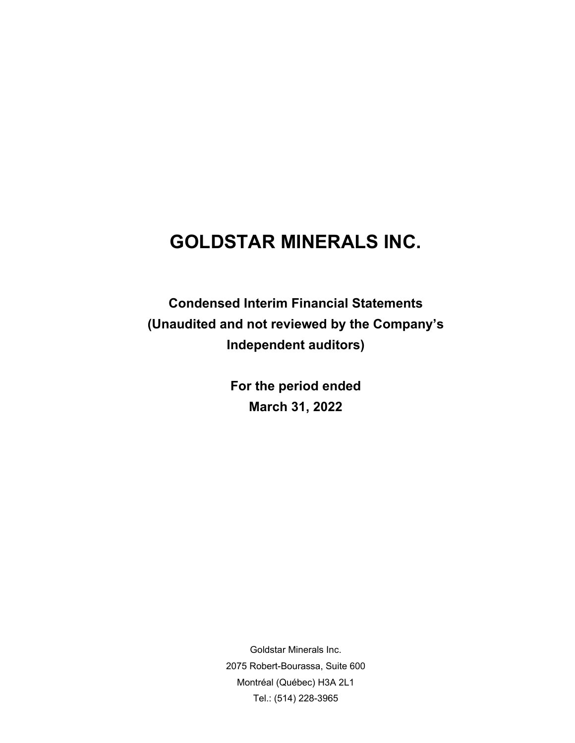**Condensed Interim Financial Statements (Unaudited and not reviewed by the Company's Independent auditors)** 

> **For the period ended March 31, 2022**

Goldstar Minerals Inc. 2075 Robert-Bourassa, Suite 600 Montréal (Québec) H3A 2L1 Tel.: (514) 228-3965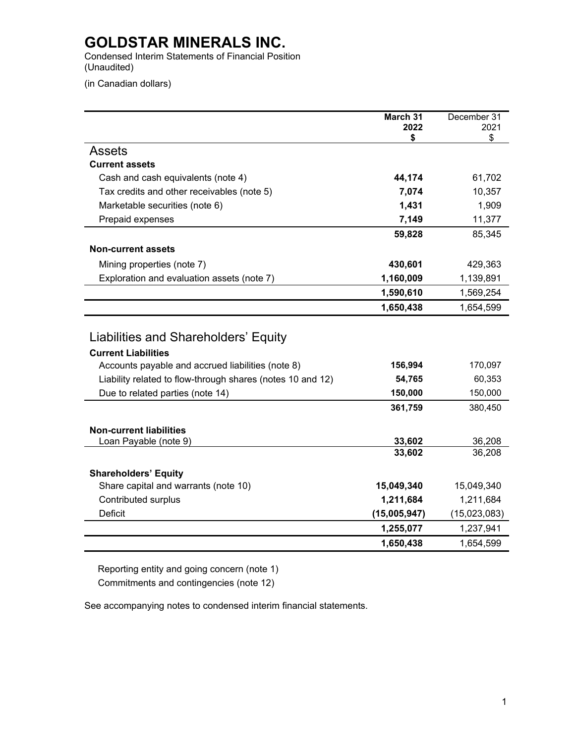Condensed Interim Statements of Financial Position (Unaudited)

(in Canadian dollars)

|                                                            | March 31<br>2022 | December 31<br>2021 |
|------------------------------------------------------------|------------------|---------------------|
|                                                            | \$               | \$                  |
| Assets                                                     |                  |                     |
| <b>Current assets</b>                                      |                  |                     |
| Cash and cash equivalents (note 4)                         | 44,174           | 61,702              |
| Tax credits and other receivables (note 5)                 | 7,074            | 10,357              |
| Marketable securities (note 6)                             | 1,431            | 1,909               |
| Prepaid expenses                                           | 7,149            | 11,377              |
|                                                            | 59,828           | 85,345              |
| <b>Non-current assets</b>                                  |                  |                     |
| Mining properties (note 7)                                 | 430,601          | 429,363             |
| Exploration and evaluation assets (note 7)                 | 1,160,009        | 1,139,891           |
|                                                            | 1,590,610        | 1,569,254           |
|                                                            | 1,650,438        | 1,654,599           |
|                                                            |                  |                     |
| Liabilities and Shareholders' Equity                       |                  |                     |
| <b>Current Liabilities</b>                                 |                  |                     |
| Accounts payable and accrued liabilities (note 8)          | 156,994          | 170,097             |
| Liability related to flow-through shares (notes 10 and 12) | 54,765           | 60,353              |
| Due to related parties (note 14)                           | 150,000          | 150,000             |
|                                                            | 361,759          | 380,450             |
|                                                            |                  |                     |
| <b>Non-current liabilities</b><br>Loan Payable (note 9)    | 33,602           | 36,208              |
|                                                            | 33,602           | 36,208              |
|                                                            |                  |                     |
| <b>Shareholders' Equity</b>                                |                  |                     |
| Share capital and warrants (note 10)                       | 15,049,340       | 15,049,340          |
| Contributed surplus                                        | 1,211,684        | 1,211,684           |
| <b>Deficit</b>                                             | (15,005,947)     | (15,023,083)        |
|                                                            | 1,255,077        | 1,237,941           |
|                                                            | 1,650,438        | 1,654,599           |

Reporting entity and going concern (note 1) Commitments and contingencies (note 12)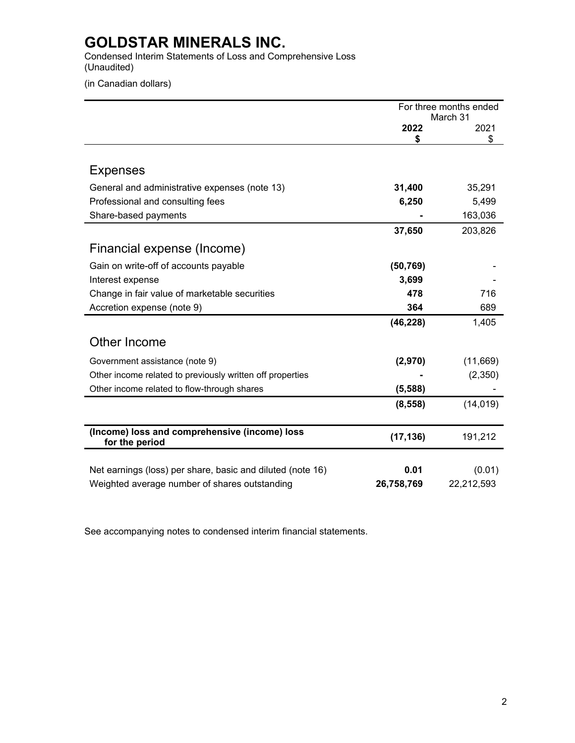Condensed Interim Statements of Loss and Comprehensive Loss (Unaudited)

(in Canadian dollars)

|                                                            | For three months ended<br>March 31 |            |  |
|------------------------------------------------------------|------------------------------------|------------|--|
|                                                            | 2022                               | 2021       |  |
|                                                            | \$                                 | \$         |  |
|                                                            |                                    |            |  |
| <b>Expenses</b>                                            |                                    |            |  |
| General and administrative expenses (note 13)              | 31,400                             | 35,291     |  |
| Professional and consulting fees                           | 6,250                              | 5,499      |  |
| Share-based payments                                       |                                    | 163,036    |  |
|                                                            | 37,650                             | 203,826    |  |
| Financial expense (Income)                                 |                                    |            |  |
| Gain on write-off of accounts payable                      | (50, 769)                          |            |  |
| Interest expense                                           | 3,699                              |            |  |
| Change in fair value of marketable securities              | 478                                | 716        |  |
| Accretion expense (note 9)                                 | 364                                | 689        |  |
|                                                            | (46, 228)                          | 1,405      |  |
| Other Income                                               |                                    |            |  |
| Government assistance (note 9)                             | (2,970)                            | (11,669)   |  |
| Other income related to previously written off properties  |                                    | (2,350)    |  |
| Other income related to flow-through shares                | (5,588)                            |            |  |
|                                                            | (8, 558)                           | (14, 019)  |  |
| (Income) loss and comprehensive (income) loss              |                                    |            |  |
| for the period                                             | (17, 136)                          | 191,212    |  |
|                                                            | 0.01                               |            |  |
| Net earnings (loss) per share, basic and diluted (note 16) |                                    | (0.01)     |  |
| Weighted average number of shares outstanding              | 26,758,769                         | 22,212,593 |  |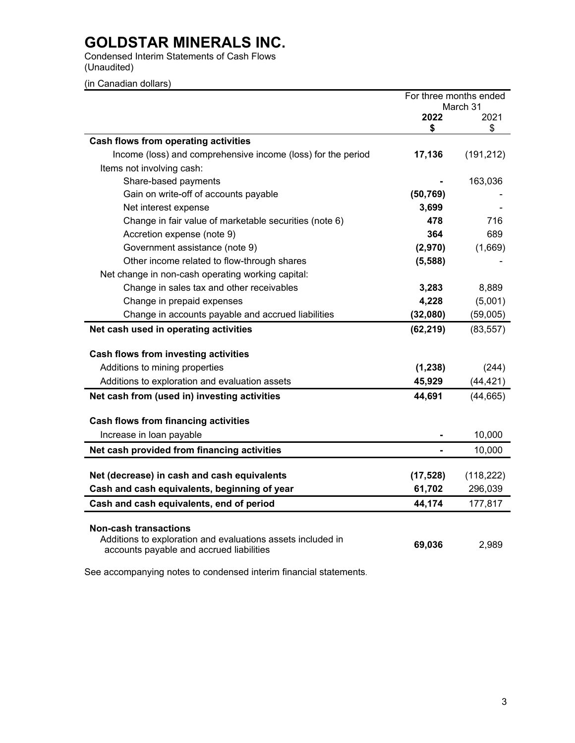Condensed Interim Statements of Cash Flows (Unaudited)

(in Canadian dollars)

|                                                                                             |           | For three months ended<br>March 31 |
|---------------------------------------------------------------------------------------------|-----------|------------------------------------|
|                                                                                             | 2022      | 2021                               |
|                                                                                             | \$        | \$                                 |
| Cash flows from operating activities                                                        |           |                                    |
| Income (loss) and comprehensive income (loss) for the period                                | 17,136    | (191, 212)                         |
| Items not involving cash:                                                                   |           |                                    |
| Share-based payments                                                                        |           | 163,036                            |
| Gain on write-off of accounts payable                                                       | (50, 769) |                                    |
| Net interest expense                                                                        | 3,699     |                                    |
| Change in fair value of marketable securities (note 6)                                      | 478       | 716                                |
| Accretion expense (note 9)                                                                  | 364       | 689                                |
| Government assistance (note 9)                                                              | (2,970)   | (1,669)                            |
| Other income related to flow-through shares                                                 | (5, 588)  |                                    |
| Net change in non-cash operating working capital:                                           |           |                                    |
| Change in sales tax and other receivables                                                   | 3,283     | 8,889                              |
| Change in prepaid expenses                                                                  | 4,228     | (5,001)                            |
| Change in accounts payable and accrued liabilities                                          | (32,080)  | (59,005)                           |
| Net cash used in operating activities                                                       | (62, 219) | (83, 557)                          |
| Cash flows from investing activities                                                        |           |                                    |
| Additions to mining properties                                                              | (1, 238)  | (244)                              |
| Additions to exploration and evaluation assets                                              | 45,929    | (44, 421)                          |
| Net cash from (used in) investing activities                                                | 44,691    | (44, 665)                          |
| <b>Cash flows from financing activities</b>                                                 |           |                                    |
| Increase in loan payable                                                                    |           | 10,000                             |
| Net cash provided from financing activities                                                 |           | 10,000                             |
|                                                                                             |           |                                    |
| Net (decrease) in cash and cash equivalents                                                 | (17, 528) | (118, 222)                         |
| Cash and cash equivalents, beginning of year                                                | 61,702    | 296,039                            |
| Cash and cash equivalents, end of period                                                    | 44,174    | 177,817                            |
|                                                                                             |           |                                    |
| <b>Non-cash transactions</b><br>Additions to exploration and evaluations assets included in | 69,036    | 2,989                              |
| accounts payable and accrued liabilities                                                    |           |                                    |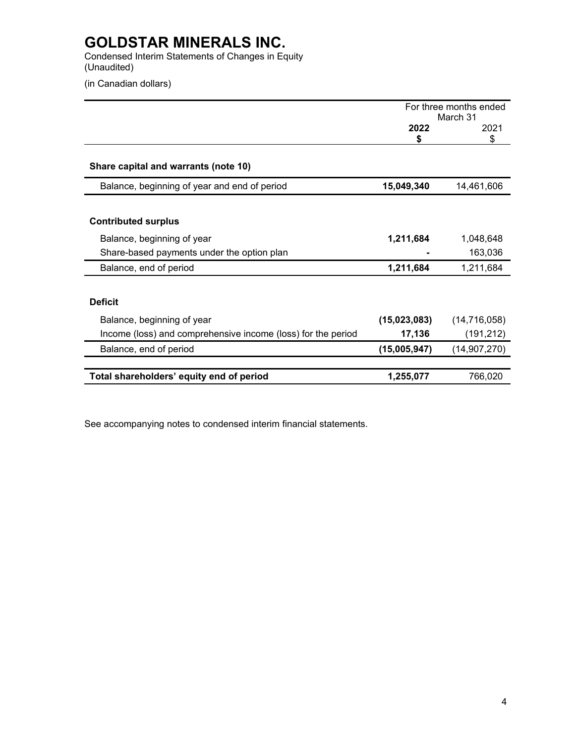Condensed Interim Statements of Changes in Equity (Unaudited)

(in Canadian dollars)

|                                                              | For three months ended<br>March 31 |                |  |
|--------------------------------------------------------------|------------------------------------|----------------|--|
|                                                              | 2022<br>\$                         | 2021<br>\$     |  |
| Share capital and warrants (note 10)                         |                                    |                |  |
| Balance, beginning of year and end of period                 | 15,049,340                         | 14,461,606     |  |
|                                                              |                                    |                |  |
| <b>Contributed surplus</b>                                   |                                    |                |  |
| Balance, beginning of year                                   | 1,211,684                          | 1,048,648      |  |
| Share-based payments under the option plan                   |                                    | 163,036        |  |
| Balance, end of period                                       | 1,211,684                          | 1,211,684      |  |
|                                                              |                                    |                |  |
| <b>Deficit</b>                                               |                                    |                |  |
| Balance, beginning of year                                   | (15,023,083)                       | (14, 716, 058) |  |
| Income (loss) and comprehensive income (loss) for the period | 17,136                             | (191, 212)     |  |
| Balance, end of period                                       | (15,005,947)                       | (14, 907, 270) |  |
| Total shareholders' equity end of period                     | 1,255,077                          | 766,020        |  |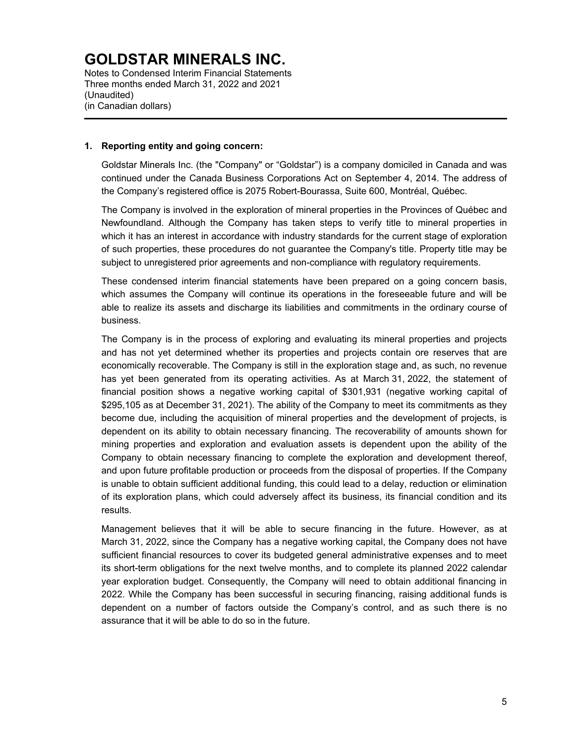Notes to Condensed Interim Financial Statements Three months ended March 31, 2022 and 2021 (Unaudited) (in Canadian dollars)

### **1. Reporting entity and going concern:**

Goldstar Minerals Inc. (the "Company" or "Goldstar") is a company domiciled in Canada and was continued under the Canada Business Corporations Act on September 4, 2014. The address of the Company's registered office is 2075 Robert-Bourassa, Suite 600, Montréal, Québec.

The Company is involved in the exploration of mineral properties in the Provinces of Québec and Newfoundland. Although the Company has taken steps to verify title to mineral properties in which it has an interest in accordance with industry standards for the current stage of exploration of such properties, these procedures do not guarantee the Company's title. Property title may be subject to unregistered prior agreements and non-compliance with regulatory requirements.

These condensed interim financial statements have been prepared on a going concern basis, which assumes the Company will continue its operations in the foreseeable future and will be able to realize its assets and discharge its liabilities and commitments in the ordinary course of business.

The Company is in the process of exploring and evaluating its mineral properties and projects and has not yet determined whether its properties and projects contain ore reserves that are economically recoverable. The Company is still in the exploration stage and, as such, no revenue has yet been generated from its operating activities. As at March 31, 2022, the statement of financial position shows a negative working capital of \$301,931 (negative working capital of \$295,105 as at December 31, 2021). The ability of the Company to meet its commitments as they become due, including the acquisition of mineral properties and the development of projects, is dependent on its ability to obtain necessary financing. The recoverability of amounts shown for mining properties and exploration and evaluation assets is dependent upon the ability of the Company to obtain necessary financing to complete the exploration and development thereof, and upon future profitable production or proceeds from the disposal of properties. If the Company is unable to obtain sufficient additional funding, this could lead to a delay, reduction or elimination of its exploration plans, which could adversely affect its business, its financial condition and its results.

Management believes that it will be able to secure financing in the future. However, as at March 31, 2022, since the Company has a negative working capital, the Company does not have sufficient financial resources to cover its budgeted general administrative expenses and to meet its short-term obligations for the next twelve months, and to complete its planned 2022 calendar year exploration budget. Consequently, the Company will need to obtain additional financing in 2022. While the Company has been successful in securing financing, raising additional funds is dependent on a number of factors outside the Company's control, and as such there is no assurance that it will be able to do so in the future.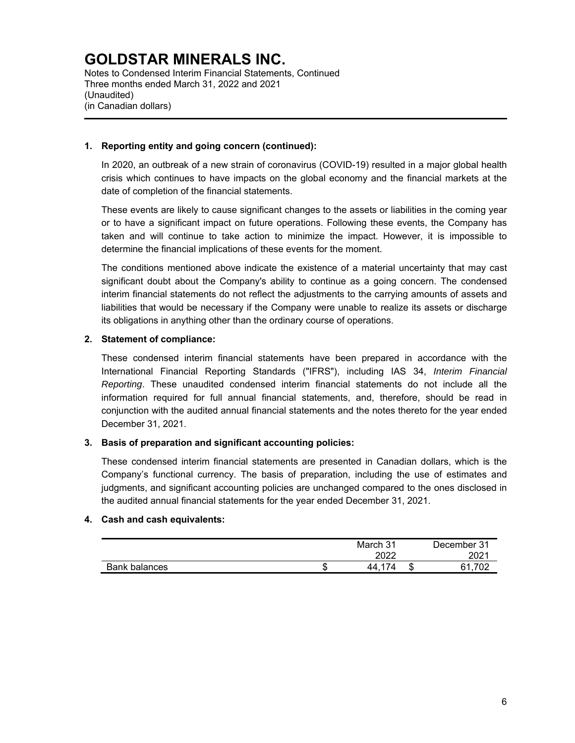Notes to Condensed Interim Financial Statements, Continued Three months ended March 31, 2022 and 2021 (Unaudited) (in Canadian dollars)

## **1. Reporting entity and going concern (continued):**

In 2020, an outbreak of a new strain of coronavirus (COVID-19) resulted in a major global health crisis which continues to have impacts on the global economy and the financial markets at the date of completion of the financial statements.

These events are likely to cause significant changes to the assets or liabilities in the coming year or to have a significant impact on future operations. Following these events, the Company has taken and will continue to take action to minimize the impact. However, it is impossible to determine the financial implications of these events for the moment.

The conditions mentioned above indicate the existence of a material uncertainty that may cast significant doubt about the Company's ability to continue as a going concern. The condensed interim financial statements do not reflect the adjustments to the carrying amounts of assets and liabilities that would be necessary if the Company were unable to realize its assets or discharge its obligations in anything other than the ordinary course of operations.

### **2. Statement of compliance:**

These condensed interim financial statements have been prepared in accordance with the International Financial Reporting Standards ("IFRS"), including IAS 34, *Interim Financial Reporting*. These unaudited condensed interim financial statements do not include all the information required for full annual financial statements, and, therefore, should be read in conjunction with the audited annual financial statements and the notes thereto for the year ended December 31, 2021.

## **3. Basis of preparation and significant accounting policies:**

These condensed interim financial statements are presented in Canadian dollars, which is the Company's functional currency. The basis of preparation, including the use of estimates and judgments, and significant accounting policies are unchanged compared to the ones disclosed in the audited annual financial statements for the year ended December 31, 2021.

#### **4. Cash and cash equivalents:**

|               |        | March 31              |   | December 31      |
|---------------|--------|-----------------------|---|------------------|
|               |        | 2022<br>ZUZZ          |   | 2021             |
| Bank balances | æ<br>Œ | 17 <sub>1</sub><br>44 | ъ | 700<br>հ1<br>ے ت |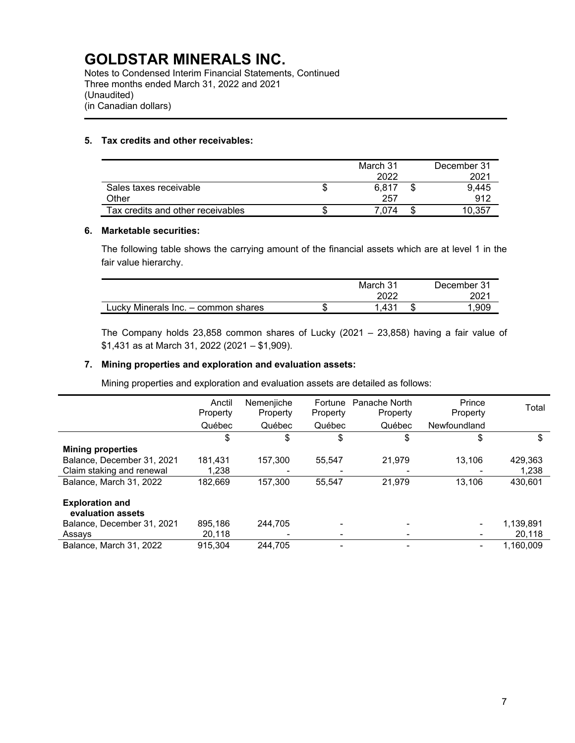Notes to Condensed Interim Financial Statements, Continued Three months ended March 31, 2022 and 2021 (Unaudited) (in Canadian dollars)

# **5. Tax credits and other receivables:**

|                                   |   | March 31<br>2022 | December 31<br>2021 |
|-----------------------------------|---|------------------|---------------------|
| Sales taxes receivable            | J | 6.817            | 9.445               |
| Other                             |   | 257              | 912                 |
| Tax credits and other receivables | S | 7.074            | 10.357              |

### **6. Marketable securities:**

The following table shows the carrying amount of the financial assets which are at level 1 in the fair value hierarchy.

|                                     | March 31<br>2022 | December 31<br>2021 |
|-------------------------------------|------------------|---------------------|
| Lucky Minerals Inc. - common shares | 431.،            | .909                |

The Company holds 23,858 common shares of Lucky (2021 – 23,858) having a fair value of \$1,431 as at March 31, 2022 (2021 – \$1,909).

### **7. Mining properties and exploration and evaluation assets:**

Mining properties and exploration and evaluation assets are detailed as follows:

|                                             | Anctil<br>Property | Nemenjiche<br>Property | Fortune<br>Property | Panache North<br>Property | Prince<br>Property | Total     |
|---------------------------------------------|--------------------|------------------------|---------------------|---------------------------|--------------------|-----------|
|                                             | Québec             | Québec                 | Québec              | Québec                    | Newfoundland       |           |
|                                             | \$                 | \$                     | \$                  | \$                        | \$                 | \$        |
| <b>Mining properties</b>                    |                    |                        |                     |                           |                    |           |
| Balance, December 31, 2021                  | 181.431            | 157.300                | 55,547              | 21.979                    | 13.106             | 429,363   |
| Claim staking and renewal                   | 1,238              |                        |                     |                           |                    | 1,238     |
| Balance, March 31, 2022                     | 182,669            | 157.300                | 55,547              | 21.979                    | 13.106             | 430.601   |
| <b>Exploration and</b><br>evaluation assets |                    |                        |                     |                           |                    |           |
| Balance, December 31, 2021                  | 895.186            | 244.705                |                     |                           | ۰                  | 1,139,891 |
| Assays                                      | 20,118             |                        |                     |                           | ۰                  | 20,118    |
| Balance, March 31, 2022                     | 915.304            | 244.705                |                     |                           | -                  | 1.160.009 |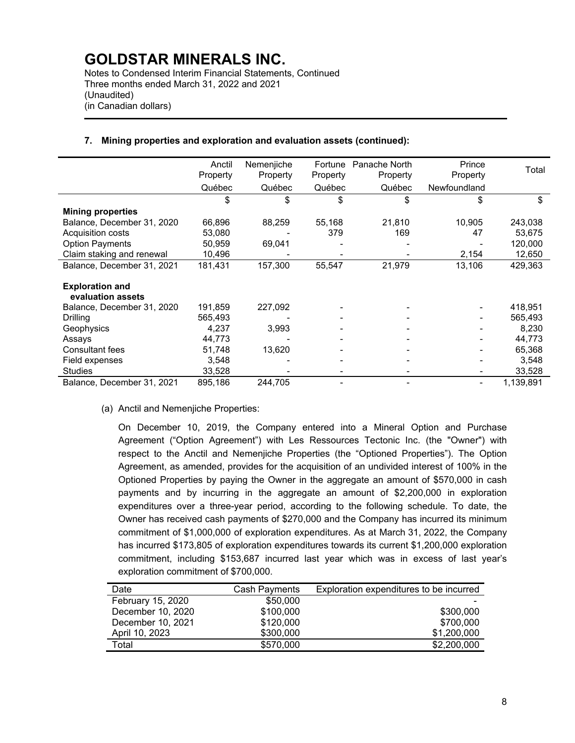Notes to Condensed Interim Financial Statements, Continued Three months ended March 31, 2022 and 2021 (Unaudited) (in Canadian dollars)

|                                             | Anctil<br>Property | Nemenjiche<br>Property | Fortune<br>Property | Panache North<br>Property | Prince<br>Property | Total     |
|---------------------------------------------|--------------------|------------------------|---------------------|---------------------------|--------------------|-----------|
|                                             | Québec             | Québec                 | Québec              | Québec                    | Newfoundland       |           |
|                                             | \$                 | \$                     | \$                  | \$                        | \$                 | \$        |
| <b>Mining properties</b>                    |                    |                        |                     |                           |                    |           |
| Balance, December 31, 2020                  | 66,896             | 88,259                 | 55,168              | 21,810                    | 10,905             | 243,038   |
| Acquisition costs                           | 53,080             |                        | 379                 | 169                       | 47                 | 53,675    |
| <b>Option Payments</b>                      | 50,959             | 69,041                 |                     |                           |                    | 120,000   |
| Claim staking and renewal                   | 10,496             |                        |                     |                           | 2,154              | 12,650    |
| Balance, December 31, 2021                  | 181,431            | 157,300                | 55,547              | 21,979                    | 13,106             | 429,363   |
| <b>Exploration and</b><br>evaluation assets |                    |                        |                     |                           |                    |           |
| Balance, December 31, 2020                  | 191,859            | 227,092                |                     |                           |                    | 418,951   |
| Drilling                                    | 565,493            |                        |                     |                           |                    | 565,493   |
| Geophysics                                  | 4,237              | 3,993                  |                     |                           |                    | 8,230     |
| Assays                                      | 44,773             |                        |                     |                           |                    | 44,773    |
| <b>Consultant fees</b>                      | 51,748             | 13,620                 |                     |                           |                    | 65,368    |
| Field expenses                              | 3,548              |                        |                     |                           |                    | 3,548     |
| <b>Studies</b>                              | 33,528             |                        |                     |                           |                    | 33,528    |
| Balance, December 31, 2021                  | 895,186            | 244,705                |                     |                           |                    | 1,139,891 |

### **7. Mining properties and exploration and evaluation assets (continued):**

(a) Anctil and Nemenjiche Properties:

On December 10, 2019, the Company entered into a Mineral Option and Purchase Agreement ("Option Agreement") with Les Ressources Tectonic Inc. (the "Owner") with respect to the Anctil and Nemenjiche Properties (the "Optioned Properties"). The Option Agreement, as amended, provides for the acquisition of an undivided interest of 100% in the Optioned Properties by paying the Owner in the aggregate an amount of \$570,000 in cash payments and by incurring in the aggregate an amount of \$2,200,000 in exploration expenditures over a three-year period, according to the following schedule. To date, the Owner has received cash payments of \$270,000 and the Company has incurred its minimum commitment of \$1,000,000 of exploration expenditures. As at March 31, 2022, the Company has incurred \$173,805 of exploration expenditures towards its current \$1,200,000 exploration commitment, including \$153,687 incurred last year which was in excess of last year's exploration commitment of \$700,000.

| Date              | <b>Cash Payments</b> | Exploration expenditures to be incurred |
|-------------------|----------------------|-----------------------------------------|
| February 15, 2020 | \$50,000             |                                         |
| December 10, 2020 | \$100,000            | \$300,000                               |
| December 10, 2021 | \$120,000            | \$700,000                               |
| April 10, 2023    | \$300,000            | \$1,200,000                             |
| Total             | \$570,000            | \$2,200,000                             |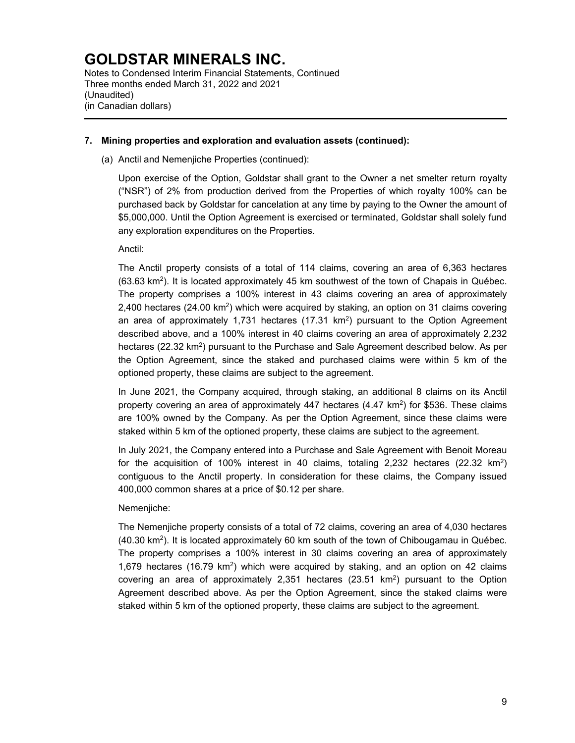Notes to Condensed Interim Financial Statements, Continued Three months ended March 31, 2022 and 2021 (Unaudited) (in Canadian dollars)

### **7. Mining properties and exploration and evaluation assets (continued):**

# (a) Anctil and Nemenjiche Properties (continued):

Upon exercise of the Option, Goldstar shall grant to the Owner a net smelter return royalty ("NSR") of 2% from production derived from the Properties of which royalty 100% can be purchased back by Goldstar for cancelation at any time by paying to the Owner the amount of \$5,000,000. Until the Option Agreement is exercised or terminated, Goldstar shall solely fund any exploration expenditures on the Properties.

Anctil:

The Anctil property consists of a total of 114 claims, covering an area of 6,363 hectares (63.63 km2). It is located approximately 45 km southwest of the town of Chapais in Québec. The property comprises a 100% interest in 43 claims covering an area of approximately 2,400 hectares (24.00 km2) which were acquired by staking, an option on 31 claims covering an area of approximately 1,731 hectares  $(17.31 \text{ km}^2)$  pursuant to the Option Agreement described above, and a 100% interest in 40 claims covering an area of approximately 2,232 hectares (22.32 km<sup>2</sup>) pursuant to the Purchase and Sale Agreement described below. As per the Option Agreement, since the staked and purchased claims were within 5 km of the optioned property, these claims are subject to the agreement.

In June 2021, the Company acquired, through staking, an additional 8 claims on its Anctil property covering an area of approximately 447 hectares  $(4.47 \text{ km}^2)$  for \$536. These claims are 100% owned by the Company. As per the Option Agreement, since these claims were staked within 5 km of the optioned property, these claims are subject to the agreement.

In July 2021, the Company entered into a Purchase and Sale Agreement with Benoit Moreau for the acquisition of 100% interest in 40 claims, totaling  $2,232$  hectares  $(22.32 \text{ km}^2)$ contiguous to the Anctil property. In consideration for these claims, the Company issued 400,000 common shares at a price of \$0.12 per share.

Nemenjiche:

The Nemenjiche property consists of a total of 72 claims, covering an area of 4,030 hectares  $(40.30 \text{ km}^2)$ . It is located approximately 60 km south of the town of Chibougamau in Québec. The property comprises a 100% interest in 30 claims covering an area of approximately 1,679 hectares (16.79  $km^2$ ) which were acquired by staking, and an option on 42 claims covering an area of approximately 2,351 hectares  $(23.51 \text{ km}^2)$  pursuant to the Option Agreement described above. As per the Option Agreement, since the staked claims were staked within 5 km of the optioned property, these claims are subject to the agreement.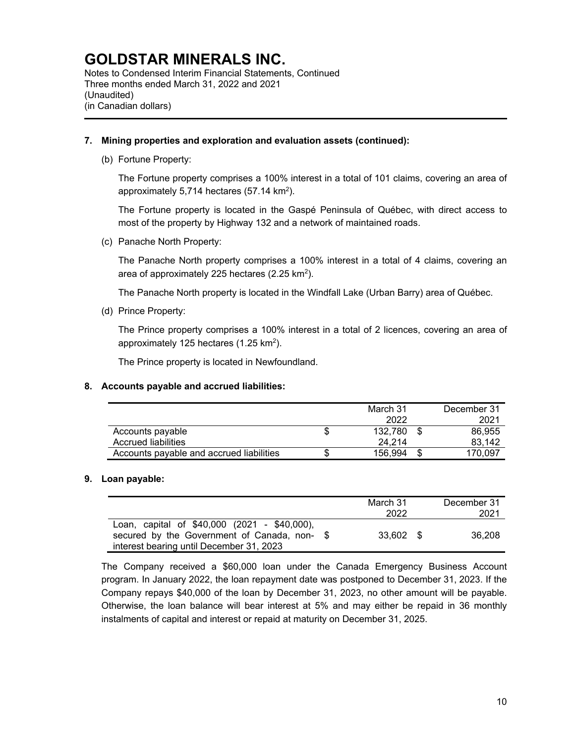Notes to Condensed Interim Financial Statements, Continued Three months ended March 31, 2022 and 2021 (Unaudited) (in Canadian dollars)

### **7. Mining properties and exploration and evaluation assets (continued):**

(b) Fortune Property:

The Fortune property comprises a 100% interest in a total of 101 claims, covering an area of approximately 5,714 hectares (57.14 km2).

The Fortune property is located in the Gaspé Peninsula of Québec, with direct access to most of the property by Highway 132 and a network of maintained roads.

(c) Panache North Property:

The Panache North property comprises a 100% interest in a total of 4 claims, covering an area of approximately 225 hectares (2.25 km<sup>2</sup>).

The Panache North property is located in the Windfall Lake (Urban Barry) area of Québec.

(d) Prince Property:

The Prince property comprises a 100% interest in a total of 2 licences, covering an area of approximately 125 hectares (1.25 km2).

The Prince property is located in Newfoundland.

## **8. Accounts payable and accrued liabilities:**

|                                          | March 31<br>2022 | December 31<br>2021 |
|------------------------------------------|------------------|---------------------|
| Accounts payable                         | 132.780          | 86,955              |
| Accrued liabilities                      | 24.214           | 83.142              |
| Accounts payable and accrued liabilities | 156.994          | 170.097             |

## **9. Loan payable:**

|                                              | March 31  | December 31 |
|----------------------------------------------|-----------|-------------|
|                                              | 2022      | 2021        |
| Loan, capital of \$40,000 (2021 - \$40,000), |           |             |
| secured by the Government of Canada, non- \$ | 33.602 \$ | 36.208      |
| interest bearing until December 31, 2023     |           |             |

The Company received a \$60,000 loan under the Canada Emergency Business Account program. In January 2022, the loan repayment date was postponed to December 31, 2023. If the Company repays \$40,000 of the loan by December 31, 2023, no other amount will be payable. Otherwise, the loan balance will bear interest at 5% and may either be repaid in 36 monthly instalments of capital and interest or repaid at maturity on December 31, 2025.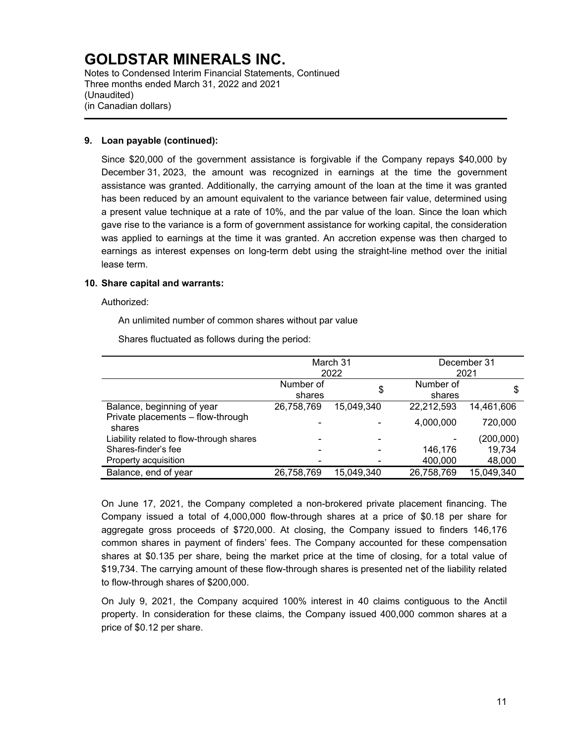Notes to Condensed Interim Financial Statements, Continued Three months ended March 31, 2022 and 2021 (Unaudited) (in Canadian dollars)

### **9. Loan payable (continued):**

Since \$20,000 of the government assistance is forgivable if the Company repays \$40,000 by December 31, 2023, the amount was recognized in earnings at the time the government assistance was granted. Additionally, the carrying amount of the loan at the time it was granted has been reduced by an amount equivalent to the variance between fair value, determined using a present value technique at a rate of 10%, and the par value of the loan. Since the loan which gave rise to the variance is a form of government assistance for working capital, the consideration was applied to earnings at the time it was granted. An accretion expense was then charged to earnings as interest expenses on long-term debt using the straight-line method over the initial lease term.

### **10. Share capital and warrants:**

Authorized:

An unlimited number of common shares without par value

Shares fluctuated as follows during the period:

|                                             |            | March 31   |            | December 31 |  |  |
|---------------------------------------------|------------|------------|------------|-------------|--|--|
|                                             |            | 2022       |            | 2021        |  |  |
|                                             | Number of  | \$         | Number of  | S           |  |  |
|                                             | shares     |            | shares     |             |  |  |
| Balance, beginning of year                  | 26,758,769 | 15,049,340 | 22,212,593 | 14,461,606  |  |  |
| Private placements - flow-through<br>shares |            |            | 4,000,000  | 720,000     |  |  |
| Liability related to flow-through shares    |            |            |            | (200,000)   |  |  |
| Shares-finder's fee                         |            |            | 146,176    | 19,734      |  |  |
| Property acquisition                        |            |            | 400,000    | 48,000      |  |  |
| Balance, end of year                        | 26,758,769 | 15,049,340 | 26,758,769 | 15,049,340  |  |  |

On June 17, 2021, the Company completed a non-brokered private placement financing. The Company issued a total of 4,000,000 flow-through shares at a price of \$0.18 per share for aggregate gross proceeds of \$720,000. At closing, the Company issued to finders 146,176 common shares in payment of finders' fees. The Company accounted for these compensation shares at \$0.135 per share, being the market price at the time of closing, for a total value of \$19,734. The carrying amount of these flow-through shares is presented net of the liability related to flow-through shares of \$200,000.

On July 9, 2021, the Company acquired 100% interest in 40 claims contiguous to the Anctil property. In consideration for these claims, the Company issued 400,000 common shares at a price of \$0.12 per share.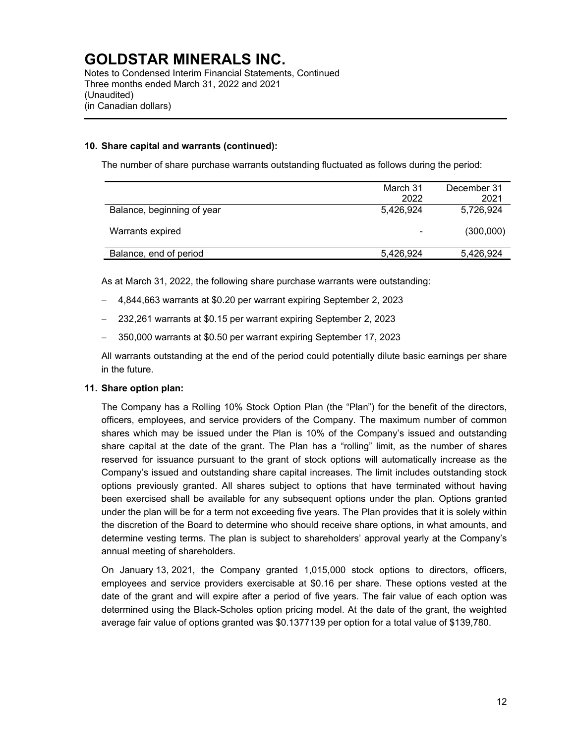Notes to Condensed Interim Financial Statements, Continued Three months ended March 31, 2022 and 2021 (Unaudited) (in Canadian dollars)

### **10. Share capital and warrants (continued):**

The number of share purchase warrants outstanding fluctuated as follows during the period:

|                            | March 31                 | December 31 |
|----------------------------|--------------------------|-------------|
|                            | 2022                     | 2021        |
| Balance, beginning of year | 5,426,924                | 5,726,924   |
| Warrants expired           | $\overline{\phantom{0}}$ | (300,000)   |
| Balance, end of period     | 5,426,924                | 5,426,924   |

As at March 31, 2022, the following share purchase warrants were outstanding:

- 4,844,663 warrants at \$0.20 per warrant expiring September 2, 2023
- 232,261 warrants at \$0.15 per warrant expiring September 2, 2023
- 350,000 warrants at \$0.50 per warrant expiring September 17, 2023

All warrants outstanding at the end of the period could potentially dilute basic earnings per share in the future.

#### **11. Share option plan:**

The Company has a Rolling 10% Stock Option Plan (the "Plan") for the benefit of the directors, officers, employees, and service providers of the Company. The maximum number of common shares which may be issued under the Plan is 10% of the Company's issued and outstanding share capital at the date of the grant. The Plan has a "rolling" limit, as the number of shares reserved for issuance pursuant to the grant of stock options will automatically increase as the Company's issued and outstanding share capital increases. The limit includes outstanding stock options previously granted. All shares subject to options that have terminated without having been exercised shall be available for any subsequent options under the plan. Options granted under the plan will be for a term not exceeding five years. The Plan provides that it is solely within the discretion of the Board to determine who should receive share options, in what amounts, and determine vesting terms. The plan is subject to shareholders' approval yearly at the Company's annual meeting of shareholders.

On January 13, 2021, the Company granted 1,015,000 stock options to directors, officers, employees and service providers exercisable at \$0.16 per share. These options vested at the date of the grant and will expire after a period of five years. The fair value of each option was determined using the Black-Scholes option pricing model. At the date of the grant, the weighted average fair value of options granted was \$0.1377139 per option for a total value of \$139,780.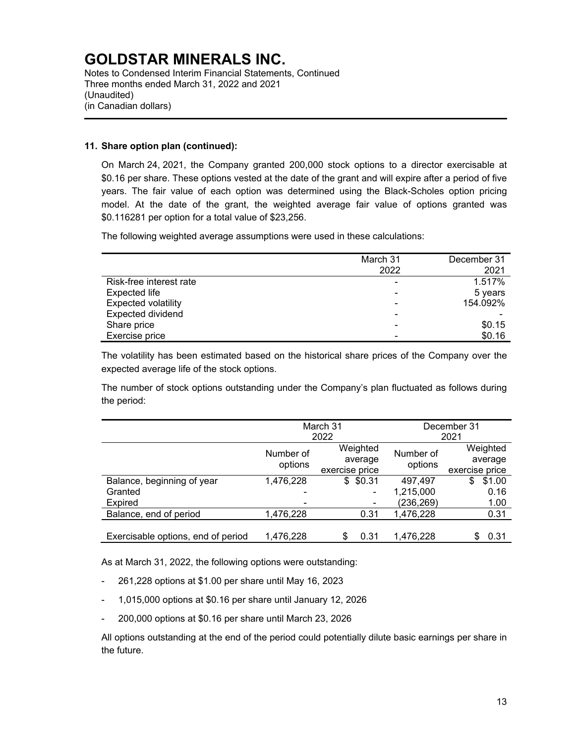Notes to Condensed Interim Financial Statements, Continued Three months ended March 31, 2022 and 2021 (Unaudited) (in Canadian dollars)

### **11. Share option plan (continued):**

On March 24, 2021, the Company granted 200,000 stock options to a director exercisable at \$0.16 per share. These options vested at the date of the grant and will expire after a period of five years. The fair value of each option was determined using the Black-Scholes option pricing model. At the date of the grant, the weighted average fair value of options granted was \$0.116281 per option for a total value of \$23,256.

The following weighted average assumptions were used in these calculations:

| March 31 | December 31 |
|----------|-------------|
|          | 2021        |
|          | 1.517%      |
| -        | 5 years     |
|          | 154.092%    |
|          |             |
|          | \$0.15      |
|          | \$0.16      |
|          | 2022        |

The volatility has been estimated based on the historical share prices of the Company over the expected average life of the stock options.

The number of stock options outstanding under the Company's plan fluctuated as follows during the period:

|                                    |                      | March 31<br>2022                      | December 31<br>2021  |                                       |  |
|------------------------------------|----------------------|---------------------------------------|----------------------|---------------------------------------|--|
|                                    | Number of<br>options | Weighted<br>average<br>exercise price | Number of<br>options | Weighted<br>average<br>exercise price |  |
| Balance, beginning of year         | 1,476,228            | \$0.31                                | 497,497              | \$1.00<br>\$                          |  |
| Granted                            |                      |                                       | 1,215,000            | 0.16                                  |  |
| <b>Expired</b>                     |                      |                                       | (236,269)            | 1.00                                  |  |
| Balance, end of period             | 1,476,228            | 0.31                                  | 1,476,228            | 0.31                                  |  |
| Exercisable options, end of period | 1,476,228            | 0.31<br>\$                            | 1,476,228            | 0.31<br>S                             |  |

As at March 31, 2022, the following options were outstanding:

- 261,228 options at \$1.00 per share until May 16, 2023
- 1,015,000 options at \$0.16 per share until January 12, 2026
- 200,000 options at \$0.16 per share until March 23, 2026

All options outstanding at the end of the period could potentially dilute basic earnings per share in the future.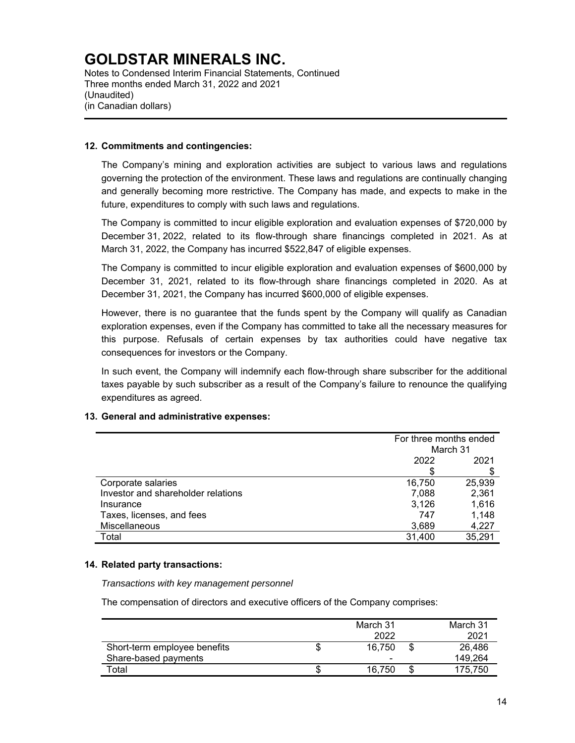Notes to Condensed Interim Financial Statements, Continued Three months ended March 31, 2022 and 2021 (Unaudited) (in Canadian dollars)

### **12. Commitments and contingencies:**

The Company's mining and exploration activities are subject to various laws and regulations governing the protection of the environment. These laws and regulations are continually changing and generally becoming more restrictive. The Company has made, and expects to make in the future, expenditures to comply with such laws and regulations.

The Company is committed to incur eligible exploration and evaluation expenses of \$720,000 by December 31, 2022, related to its flow-through share financings completed in 2021. As at March 31, 2022, the Company has incurred \$522,847 of eligible expenses.

The Company is committed to incur eligible exploration and evaluation expenses of \$600,000 by December 31, 2021, related to its flow-through share financings completed in 2020. As at December 31, 2021, the Company has incurred \$600,000 of eligible expenses.

However, there is no guarantee that the funds spent by the Company will qualify as Canadian exploration expenses, even if the Company has committed to take all the necessary measures for this purpose. Refusals of certain expenses by tax authorities could have negative tax consequences for investors or the Company.

In such event, the Company will indemnify each flow-through share subscriber for the additional taxes payable by such subscriber as a result of the Company's failure to renounce the qualifying expenditures as agreed.

## **13. General and administrative expenses:**

|                                    |        | For three months ended |  |
|------------------------------------|--------|------------------------|--|
|                                    |        | March 31               |  |
|                                    | 2022   | 2021                   |  |
|                                    | \$     |                        |  |
| Corporate salaries                 | 16,750 | 25,939                 |  |
| Investor and shareholder relations | 7,088  | 2,361                  |  |
| Insurance                          | 3,126  | 1,616                  |  |
| Taxes, licenses, and fees          | 747    | 1,148                  |  |
| Miscellaneous                      | 3,689  | 4,227                  |  |
| Total                              | 31,400 | 35,291                 |  |

#### **14. Related party transactions:**

*Transactions with key management personnel* 

The compensation of directors and executive officers of the Company comprises:

|                              | March 31<br>2022         | March 31<br>2021 |
|------------------------------|--------------------------|------------------|
| Short-term employee benefits | 16.750                   | 26.486           |
| Share-based payments         | $\overline{\phantom{0}}$ | 149.264          |
| Total                        | 16.750                   | 175.750          |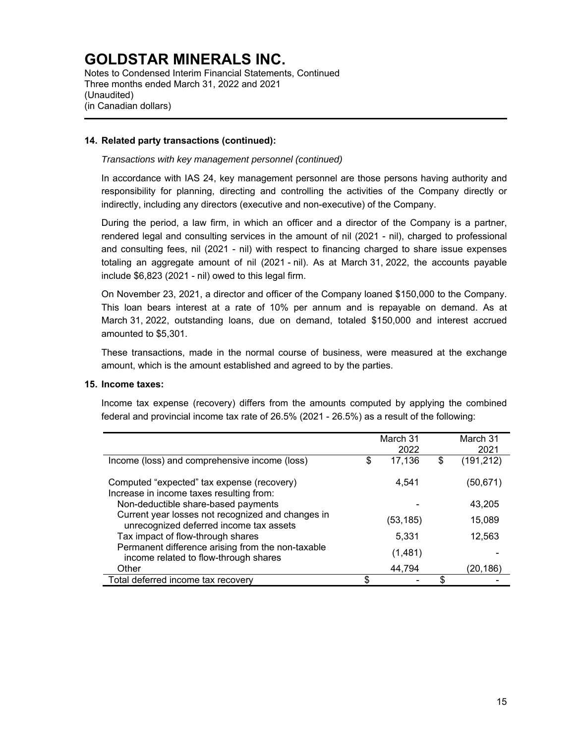Notes to Condensed Interim Financial Statements, Continued Three months ended March 31, 2022 and 2021 (Unaudited) (in Canadian dollars)

### **14. Related party transactions (continued):**

### *Transactions with key management personnel (continued)*

In accordance with IAS 24, key management personnel are those persons having authority and responsibility for planning, directing and controlling the activities of the Company directly or indirectly, including any directors (executive and non-executive) of the Company.

During the period, a law firm, in which an officer and a director of the Company is a partner, rendered legal and consulting services in the amount of nil (2021 - nil), charged to professional and consulting fees, nil (2021 - nil) with respect to financing charged to share issue expenses totaling an aggregate amount of nil (2021 - nil). As at March 31, 2022, the accounts payable include \$6,823 (2021 - nil) owed to this legal firm.

On November 23, 2021, a director and officer of the Company loaned \$150,000 to the Company. This loan bears interest at a rate of 10% per annum and is repayable on demand. As at March 31, 2022, outstanding loans, due on demand, totaled \$150,000 and interest accrued amounted to \$5,301.

These transactions, made in the normal course of business, were measured at the exchange amount, which is the amount established and agreed to by the parties.

#### **15. Income taxes:**

Income tax expense (recovery) differs from the amounts computed by applying the combined federal and provincial income tax rate of 26.5% (2021 - 26.5%) as a result of the following:

|                                                                                              |   | March 31<br>2022 | March 31<br>2021 |
|----------------------------------------------------------------------------------------------|---|------------------|------------------|
| Income (loss) and comprehensive income (loss)                                                | S | 17,136           | \$<br>(191, 212) |
| Computed "expected" tax expense (recovery)<br>Increase in income taxes resulting from:       |   | 4.541            | (50,671)         |
| Non-deductible share-based payments                                                          |   |                  | 43,205           |
| Current year losses not recognized and changes in<br>unrecognized deferred income tax assets |   | (53,185)         | 15,089           |
| Tax impact of flow-through shares                                                            |   | 5,331            | 12,563           |
| Permanent difference arising from the non-taxable<br>income related to flow-through shares   |   | (1,481)          |                  |
| Other                                                                                        |   | 44.794           | (20,186)         |
| Total deferred income tax recovery                                                           |   |                  |                  |